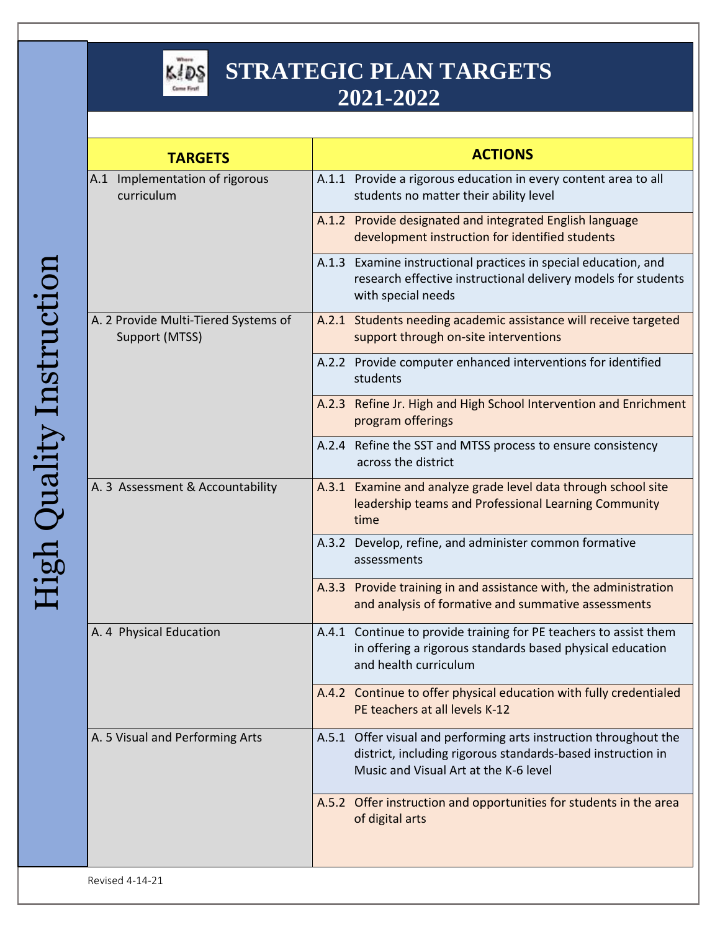

| <b>ACTIONS</b>                                                                                                                                                            |
|---------------------------------------------------------------------------------------------------------------------------------------------------------------------------|
| A.1.1 Provide a rigorous education in every content area to all<br>students no matter their ability level                                                                 |
| A.1.2 Provide designated and integrated English language<br>development instruction for identified students                                                               |
| A.1.3 Examine instructional practices in special education, and<br>research effective instructional delivery models for students<br>with special needs                    |
| A.2.1 Students needing academic assistance will receive targeted<br>support through on-site interventions                                                                 |
| A.2.2 Provide computer enhanced interventions for identified<br>students                                                                                                  |
| A.2.3 Refine Jr. High and High School Intervention and Enrichment<br>program offerings                                                                                    |
| A.2.4 Refine the SST and MTSS process to ensure consistency<br>across the district                                                                                        |
| A.3.1 Examine and analyze grade level data through school site<br>leadership teams and Professional Learning Community<br>time                                            |
| A.3.2 Develop, refine, and administer common formative<br>assessments                                                                                                     |
| A.3.3 Provide training in and assistance with, the administration<br>and analysis of formative and summative assessments                                                  |
| A.4.1 Continue to provide training for PE teachers to assist them<br>in offering a rigorous standards based physical education<br>and health curriculum                   |
| A.4.2 Continue to offer physical education with fully credentialed<br>PE teachers at all levels K-12                                                                      |
| A.5.1 Offer visual and performing arts instruction throughout the<br>district, including rigorous standards-based instruction in<br>Music and Visual Art at the K-6 level |
| A.5.2 Offer instruction and opportunities for students in the area<br>of digital arts                                                                                     |
|                                                                                                                                                                           |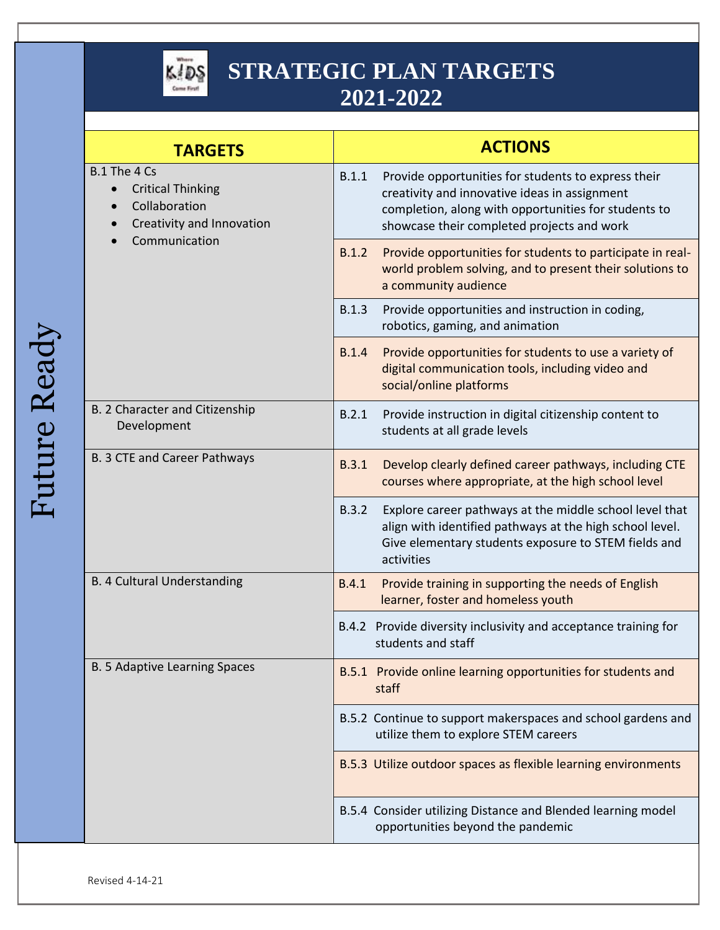

| <b>TARGETS</b>                                                                                          | <b>ACTIONS</b>                                                                                                                                                                                                      |
|---------------------------------------------------------------------------------------------------------|---------------------------------------------------------------------------------------------------------------------------------------------------------------------------------------------------------------------|
| B.1 The 4 Cs<br><b>Critical Thinking</b><br>Collaboration<br>Creativity and Innovation<br>Communication | B.1.1<br>Provide opportunities for students to express their<br>creativity and innovative ideas in assignment<br>completion, along with opportunities for students to<br>showcase their completed projects and work |
|                                                                                                         | B.1.2<br>Provide opportunities for students to participate in real-<br>world problem solving, and to present their solutions to<br>a community audience                                                             |
|                                                                                                         | B.1.3<br>Provide opportunities and instruction in coding,<br>robotics, gaming, and animation                                                                                                                        |
|                                                                                                         | B.1.4<br>Provide opportunities for students to use a variety of<br>digital communication tools, including video and<br>social/online platforms                                                                      |
| B. 2 Character and Citizenship<br>Development                                                           | B.2.1<br>Provide instruction in digital citizenship content to<br>students at all grade levels                                                                                                                      |
| B. 3 CTE and Career Pathways                                                                            | B.3.1<br>Develop clearly defined career pathways, including CTE<br>courses where appropriate, at the high school level                                                                                              |
|                                                                                                         | B.3.2<br>Explore career pathways at the middle school level that<br>align with identified pathways at the high school level.<br>Give elementary students exposure to STEM fields and<br>activities                  |
| <b>B. 4 Cultural Understanding</b>                                                                      | Provide training in supporting the needs of English<br>B.4.1<br>learner, foster and homeless youth                                                                                                                  |
|                                                                                                         | B.4.2 Provide diversity inclusivity and acceptance training for<br>students and staff                                                                                                                               |
| B. 5 Adaptive Learning Spaces                                                                           | B.5.1 Provide online learning opportunities for students and<br>staff                                                                                                                                               |
|                                                                                                         | B.5.2 Continue to support makerspaces and school gardens and<br>utilize them to explore STEM careers                                                                                                                |
|                                                                                                         | B.5.3 Utilize outdoor spaces as flexible learning environments                                                                                                                                                      |
|                                                                                                         | B.5.4 Consider utilizing Distance and Blended learning model<br>opportunities beyond the pandemic                                                                                                                   |

Future Ready Future Ready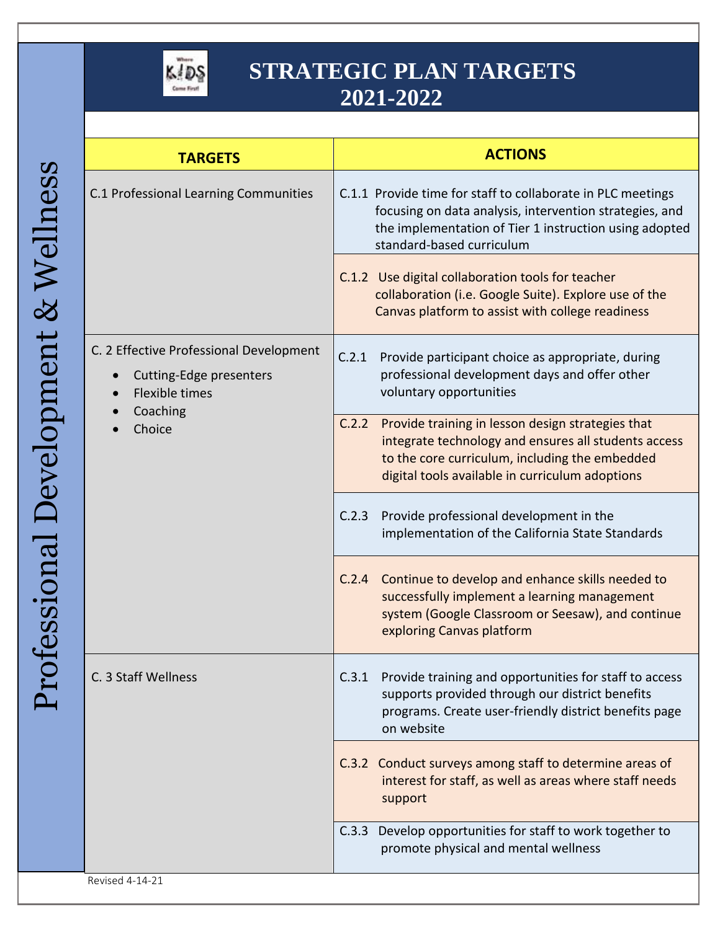

| ててくる<br>r<br>P<br>$\ddot{\phantom{0}}$ |
|----------------------------------------|
|                                        |
|                                        |
|                                        |
|                                        |
|                                        |
|                                        |
|                                        |
|                                        |
| $\sqrt{2}$                             |
| こくらく                                   |
|                                        |
| ててく                                    |
|                                        |
|                                        |
| Í                                      |

| <b>TARGETS</b>                                                                                                          | <b>ACTIONS</b>                                                                                                                                                                                                          |
|-------------------------------------------------------------------------------------------------------------------------|-------------------------------------------------------------------------------------------------------------------------------------------------------------------------------------------------------------------------|
| C.1 Professional Learning Communities                                                                                   | C.1.1 Provide time for staff to collaborate in PLC meetings<br>focusing on data analysis, intervention strategies, and<br>the implementation of Tier 1 instruction using adopted<br>standard-based curriculum           |
|                                                                                                                         | C.1.2 Use digital collaboration tools for teacher<br>collaboration (i.e. Google Suite). Explore use of the<br>Canvas platform to assist with college readiness                                                          |
| C. 2 Effective Professional Development<br>Cutting-Edge presenters<br>$\bullet$<br>Flexible times<br>Coaching<br>Choice | C.2.1<br>Provide participant choice as appropriate, during<br>professional development days and offer other<br>voluntary opportunities                                                                                  |
|                                                                                                                         | Provide training in lesson design strategies that<br>C.2.2<br>integrate technology and ensures all students access<br>to the core curriculum, including the embedded<br>digital tools available in curriculum adoptions |
|                                                                                                                         | Provide professional development in the<br>C.2.3<br>implementation of the California State Standards                                                                                                                    |
|                                                                                                                         | C.2.4 Continue to develop and enhance skills needed to<br>successfully implement a learning management<br>system (Google Classroom or Seesaw), and continue<br>exploring Canvas platform                                |
| C. 3 Staff Wellness                                                                                                     | Provide training and opportunities for staff to access<br>C.3.1<br>supports provided through our district benefits<br>programs. Create user-friendly district benefits page<br>on website                               |
|                                                                                                                         | C.3.2 Conduct surveys among staff to determine areas of<br>interest for staff, as well as areas where staff needs<br>support                                                                                            |
|                                                                                                                         | C.3.3 Develop opportunities for staff to work together to<br>promote physical and mental wellness                                                                                                                       |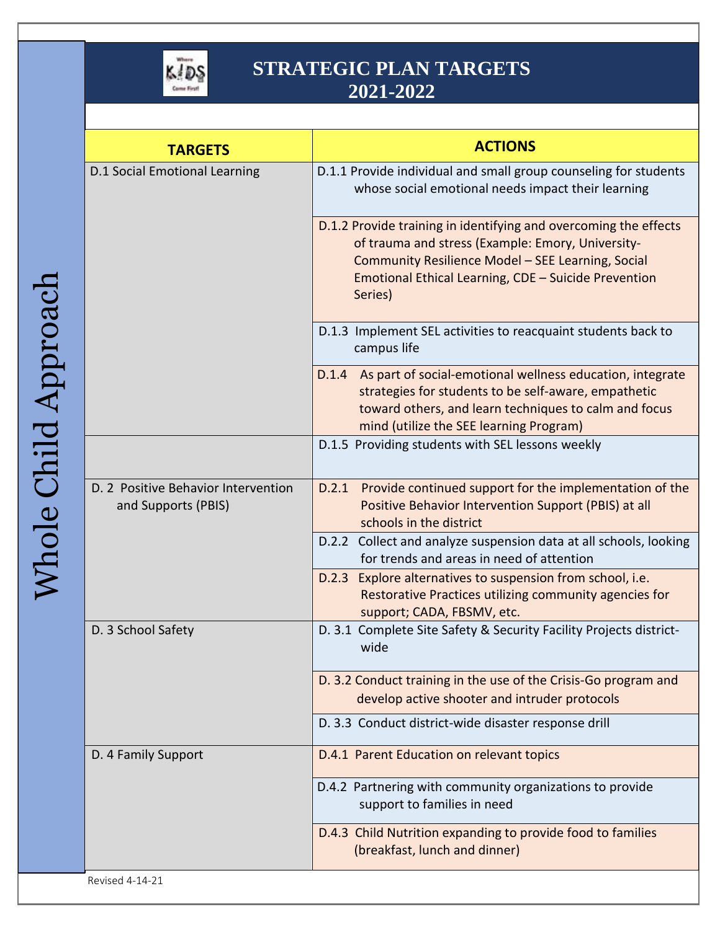

| <b>TARGETS</b>                                             | <b>ACTIONS</b>                                                                                                                                                                                                                                |
|------------------------------------------------------------|-----------------------------------------------------------------------------------------------------------------------------------------------------------------------------------------------------------------------------------------------|
| <b>D.1 Social Emotional Learning</b>                       | D.1.1 Provide individual and small group counseling for students<br>whose social emotional needs impact their learning                                                                                                                        |
|                                                            | D.1.2 Provide training in identifying and overcoming the effects<br>of trauma and stress (Example: Emory, University-<br>Community Resilience Model - SEE Learning, Social<br>Emotional Ethical Learning, CDE - Suicide Prevention<br>Series) |
|                                                            | D.1.3 Implement SEL activities to reacquaint students back to<br>campus life                                                                                                                                                                  |
|                                                            | D.1.4 As part of social-emotional wellness education, integrate<br>strategies for students to be self-aware, empathetic<br>toward others, and learn techniques to calm and focus<br>mind (utilize the SEE learning Program)                   |
|                                                            | D.1.5 Providing students with SEL lessons weekly                                                                                                                                                                                              |
| D. 2 Positive Behavior Intervention<br>and Supports (PBIS) | Provide continued support for the implementation of the<br>D.2.1<br>Positive Behavior Intervention Support (PBIS) at all<br>schools in the district                                                                                           |
|                                                            | D.2.2 Collect and analyze suspension data at all schools, looking<br>for trends and areas in need of attention                                                                                                                                |
|                                                            | D.2.3 Explore alternatives to suspension from school, i.e.<br>Restorative Practices utilizing community agencies for<br>support; CADA, FBSMV, etc.                                                                                            |
| D. 3 School Safety                                         | D. 3.1 Complete Site Safety & Security Facility Projects district-<br>wide                                                                                                                                                                    |
|                                                            | D. 3.2 Conduct training in the use of the Crisis-Go program and<br>develop active shooter and intruder protocols                                                                                                                              |
|                                                            | D. 3.3 Conduct district-wide disaster response drill                                                                                                                                                                                          |
| D. 4 Family Support                                        | D.4.1 Parent Education on relevant topics                                                                                                                                                                                                     |
|                                                            | D.4.2 Partnering with community organizations to provide<br>support to families in need                                                                                                                                                       |
| Revised 4-14-21                                            | D.4.3 Child Nutrition expanding to provide food to families<br>(breakfast, lunch and dinner)                                                                                                                                                  |

Revised 4-14-21